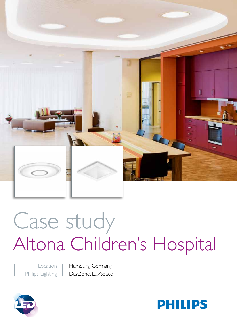

# Case study Altona Children's Hospital

Location Philips Lighting Hamburg, Germany DayZone, LuxSpace



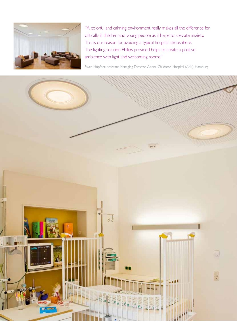

"A colorful and calming environment really makes all the difference for critically ill children and young people as it helps to alleviate anxiety. This is our reason for avoiding a typical hospital atmosphere. The lighting solution Philips provided helps to create a positive ambience with light and welcoming rooms."

Swen Höpfner, Assistant Managing Director, Altona Children's Hospital (AKK), Hamburg

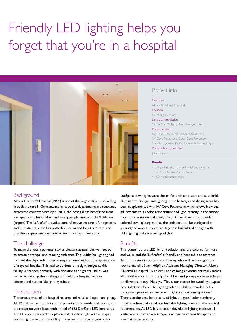# Friendly LED lighting helps you forget that you're in a hospital



# Project info

#### Customer

Altona Children's Hospital Location Hamburg, Germany Light planning/design Sabine Mai, Mailight; Marc Ewers, euroterra Philips products DayZone, TurnRound, LuxSpace, SpotLED 3, iW Cove Powercore, iColor Cove Powercore, Smartform, Celino, Pacific, Savio with Personal Light Philips lighting consultant Juliane Lokat

#### **Results**

• Energy efficient high-quality lighting solution

- Emotionally attractive ambience
- Low maintenance costs

## **Background**

Altona Children's Hospital (AKK) is one of the largest clinics specializing in pediatric care in Germany, and its specialist departments are renowned across the country. Since April 2011, the hospital has benefitted from a unique facility for children and young people known as the 'Lufthafen' (airport). The 'Lufthafen' provides comprehensive treatment for inpatients and outpatients, as well as both short-term and long-term care, and therefore represents a unique facility in northern Germany.

# The challenge

To make the young patients' stay as pleasant as possible, we needed to create a tranquil and relaxing ambience. The 'Lufthafen' lighting had to meet the day-to-day hospital requirements without the appearance of a typical hospital. This had to be done on a tight budget as this facility is financed primarily with donations and grants. Philips was invited to take up this challenge and help the hospital with an efficient and sustainable lighting solution.

# The solution

The various areas of the hospital required individual and optimum lighting. All 12 children and patient rooms, parent rooms, residential rooms, and the reception were fitted with a total of 128 DayZone LED luminaires. The LED solution creates a pleasant, dazzle-free light with a unique corona light effect on the ceiling. In the bathrooms, energy-efficient

LuxSpace down lights were chosen for their consistent and sustainable illumination. Background lighting in the hallways and dining areas has been supplemented with iW Cove Powercore, which allows individual adjustments to its color temperature and light intensity. In the snooze room on the residential ward, iColor Cove Powercore provides colored cove lighting, so that the ambience can be configured in a variety of ways. The external façade is highlighted at night with LED lighting and recessed spotlights.

## **Benefits**

This contemporary LED lighting solution and the colored furniture and walls lend the 'Lufthafen' a friendly and hospitable appearance. And this is very important, considering who will be staying in the rooms, explains Swen Höpfner, Assistant Managing Director, Altona Children's Hospital. "A colorful and calming environment really makes all the difference for critically ill children and young people as it helps to alleviate anxiety." He says, "This is our reason for avoiding a typical hospital atmosphere. The lighting solution Philips provided helps to create a positive ambience with light and welcoming rooms." Thanks to the excellent quality of light, the good color rendering, the dazzle-free and visual comfort, this lighting meets all the medical requirements. As LED has been employed, the lighting is above all sustainable and relatively inexpensive, due to its long life-span and low maintenance costs.